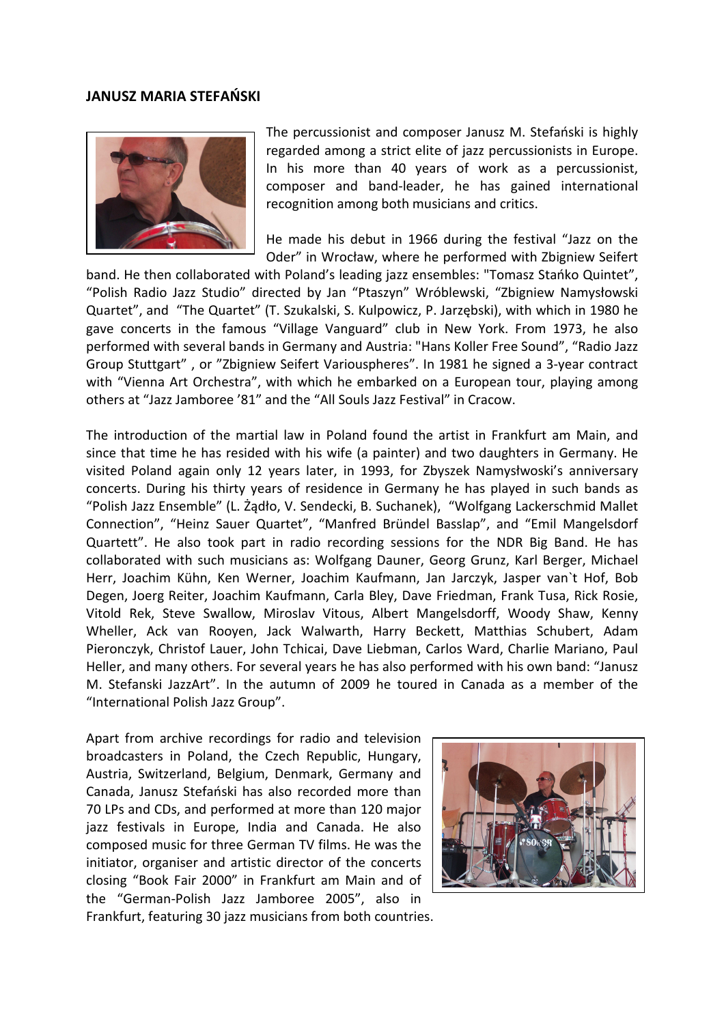## **JANUSZ MARIA STEFAŃSKI**



The percussionist and composer Janusz M. Stefański is highly regarded among a strict elite of jazz percussionists in Europe. In his more than 40 years of work as a percussionist, composer and band-leader, he has gained international recognition among both musicians and critics.

He made his debut in 1966 during the festival "Jazz on the Oder" in Wrocław, where he performed with Zbigniew Seifert

band. He then collaborated with Poland's leading jazz ensembles: "Tomasz Stańko Quintet", "Polish Radio Jazz Studio" directed by Jan "Ptaszyn" Wróblewski, "Zbigniew Namysłowski Quartet", and "The Quartet" (T. Szukalski, S. Kulpowicz, P. Jarzębski), with which in 1980 he gave concerts in the famous "Village Vanguard" club in New York. From 1973, he also performed with several bands in Germany and Austria: "Hans Koller Free Sound", "Radio Jazz Group Stuttgart" , or "Zbigniew Seifert Variouspheres". In 1981 he signed a 3-year contract with "Vienna Art Orchestra", with which he embarked on a European tour, playing among others at "Jazz Jamboree '81" and the "All Souls Jazz Festival" in Cracow.

The introduction of the martial law in Poland found the artist in Frankfurt am Main, and since that time he has resided with his wife (a painter) and two daughters in Germany. He visited Poland again only 12 years later, in 1993, for Zbyszek Namysłwoski's anniversary concerts. During his thirty years of residence in Germany he has played in such bands as "Polish Jazz Ensemble" (L. Żądło, V. Sendecki, B. Suchanek), "Wolfgang Lackerschmid Mallet Connection", "Heinz Sauer Quartet", "Manfred Bründel Basslap", and "Emil Mangelsdorf Quartett". He also took part in radio recording sessions for the NDR Big Band. He has collaborated with such musicians as: Wolfgang Dauner, Georg Grunz, Karl Berger, Michael Herr, Joachim Kühn, Ken Werner, Joachim Kaufmann, Jan Jarczyk, Jasper van`t Hof, Bob Degen, Joerg Reiter, Joachim Kaufmann, Carla Bley, Dave Friedman, Frank Tusa, Rick Rosie, Vitold Rek, Steve Swallow, Miroslav Vitous, Albert Mangelsdorff, Woody Shaw, Kenny Wheller, Ack van Rooyen, Jack Walwarth, Harry Beckett, Matthias Schubert, Adam Pieronczyk, Christof Lauer, John Tchicai, Dave Liebman, Carlos Ward, Charlie Mariano, Paul Heller, and many others. For several years he has also performed with his own band: "Janusz M. Stefanski JazzArt". In the autumn of 2009 he toured in Canada as a member of the "International Polish Jazz Group".

Apart from archive recordings for radio and television broadcasters in Poland, the Czech Republic, Hungary, Austria, Switzerland, Belgium, Denmark, Germany and Canada, Janusz Stefański has also recorded more than 70 LPs and CDs, and performed at more than 120 major jazz festivals in Europe, India and Canada. He also composed music for three German TV films. He was the initiator, organiser and artistic director of the concerts closing "Book Fair 2000" in Frankfurt am Main and of the "German-Polish Jazz Jamboree 2005", also in Frankfurt, featuring 30 jazz musicians from both countries.